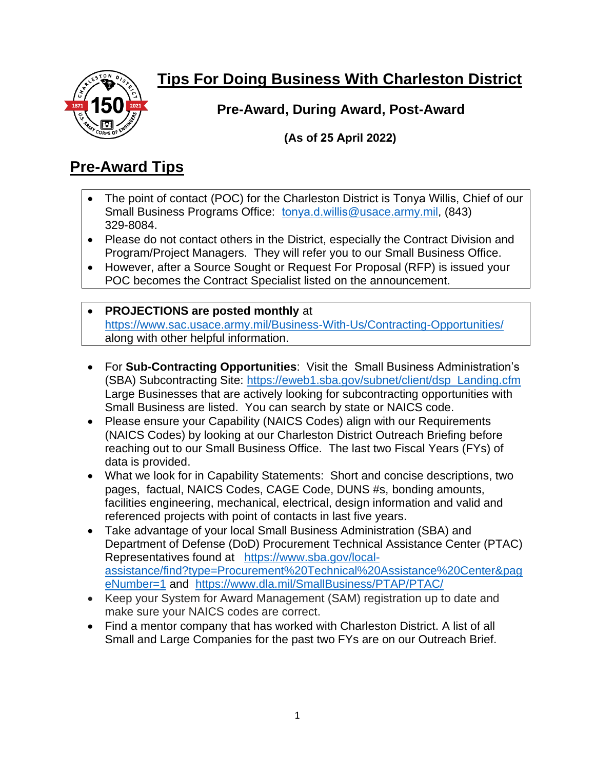

## **Tips For Doing Business With Charleston District**

**Pre-Award, During Award, Post-Award**

**(As of 25 April 2022)** 

### **Pre-Award Tips**

- The point of contact (POC) for the Charleston District is Tonya Willis, Chief of our Small Business Programs Office: tonya.d.willis[@usace.army.mil,](mailto:wayne.f.hiatt@usace.army.mil) (843) 329-8084.
- Please do not contact others in the District, especially the Contract Division and Program/Project Managers. They will refer you to our Small Business Office.
- However, after a Source Sought or Request For Proposal (RFP) is issued your POC becomes the Contract Specialist listed on the announcement.
- **PROJECTIONS are posted monthly** at <https://www.sac.usace.army.mil/Business-With-Us/Contracting-Opportunities/> along with other helpful information.
- For **Sub-Contracting Opportunities**: Visit the Small Business Administration's (SBA) Subcontracting Site: [https://eweb1.sba.gov/subnet/client/dsp\\_Landing.cfm](https://eweb1.sba.gov/subnet/client/dsp_Landing.cfm) Large Businesses that are actively looking for subcontracting opportunities with Small Business are listed. You can search by state or NAICS code.
- Please ensure your Capability (NAICS Codes) align with our Requirements (NAICS Codes) by looking at our Charleston District Outreach Briefing before reaching out to our Small Business Office. The last two Fiscal Years (FYs) of data is provided.
- What we look for in Capability Statements: Short and concise descriptions, two pages, factual, NAICS Codes, CAGE Code, DUNS #s, bonding amounts, facilities engineering, mechanical, electrical, design information and valid and referenced projects with point of contacts in last five years.
- Take advantage of your local Small Business Administration (SBA) and Department of Defense (DoD) Procurement Technical Assistance Center (PTAC) Representatives found at [https://www.sba.gov/local](https://www.sba.gov/local-assistance/find?type=Procurement%20Technical%20Assistance%20Center&pageNumber=1)[assistance/find?type=Procurement%20Technical%20Assistance%20Center&pag](https://www.sba.gov/local-assistance/find?type=Procurement%20Technical%20Assistance%20Center&pageNumber=1) [eNumber=1](https://www.sba.gov/local-assistance/find?type=Procurement%20Technical%20Assistance%20Center&pageNumber=1) and <https://www.dla.mil/SmallBusiness/PTAP/PTAC/>
- Keep your System for Award Management (SAM) registration up to date and make sure your NAICS codes are correct.
- Find a mentor company that has worked with Charleston District. A list of all Small and Large Companies for the past two FYs are on our Outreach Brief.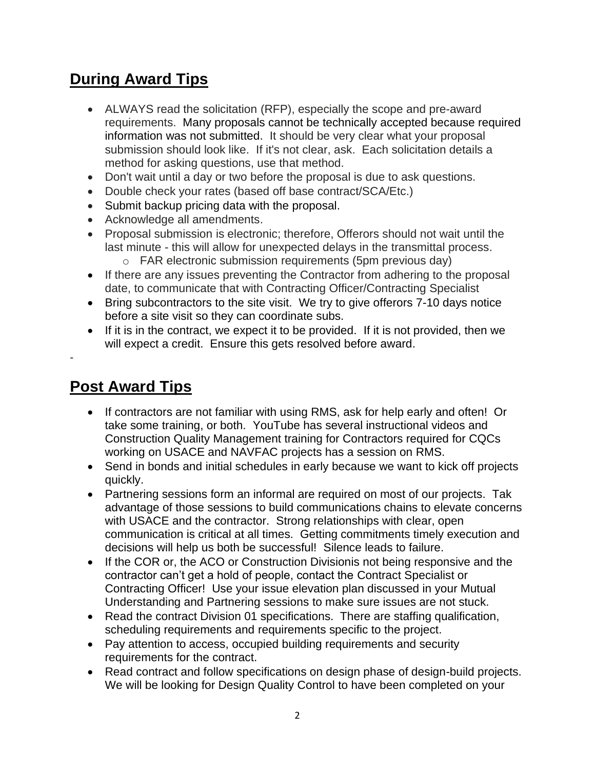#### **During Award Tips**

- ALWAYS read the solicitation (RFP), especially the scope and pre-award requirements. Many proposals cannot be technically accepted because required information was not submitted. It should be very clear what your proposal submission should look like. If it's not clear, ask. Each solicitation details a method for asking questions, use that method.
- Don't wait until a day or two before the proposal is due to ask questions.
- Double check your rates (based off base contract/SCA/Etc.)
- Submit backup pricing data with the proposal.
- Acknowledge all amendments.
- Proposal submission is electronic; therefore, Offerors should not wait until the last minute - this will allow for unexpected delays in the transmittal process. o FAR electronic submission requirements (5pm previous day)
- If there are any issues preventing the Contractor from adhering to the proposal date, to communicate that with Contracting Officer/Contracting Specialist
- Bring subcontractors to the site visit. We try to give offerors 7-10 days notice before a site visit so they can coordinate subs.
- If it is in the contract, we expect it to be provided. If it is not provided, then we will expect a credit. Ensure this gets resolved before award.

#### **Post Award Tips**

-

- If contractors are not familiar with using RMS, ask for help early and often! Or take some training, or both. YouTube has several instructional videos and Construction Quality Management training for Contractors required for CQCs working on USACE and NAVFAC projects has a session on RMS.
- Send in bonds and initial schedules in early because we want to kick off projects quickly.
- Partnering sessions form an informal are required on most of our projects. Tak advantage of those sessions to build communications chains to elevate concerns with USACE and the contractor. Strong relationships with clear, open communication is critical at all times. Getting commitments timely execution and decisions will help us both be successful! Silence leads to failure.
- If the COR or, the ACO or Construction Divisionis not being responsive and the contractor can't get a hold of people, contact the Contract Specialist or Contracting Officer! Use your issue elevation plan discussed in your Mutual Understanding and Partnering sessions to make sure issues are not stuck.
- Read the contract Division 01 specifications. There are staffing qualification, scheduling requirements and requirements specific to the project.
- Pay attention to access, occupied building requirements and security requirements for the contract.
- Read contract and follow specifications on design phase of design-build projects. We will be looking for Design Quality Control to have been completed on your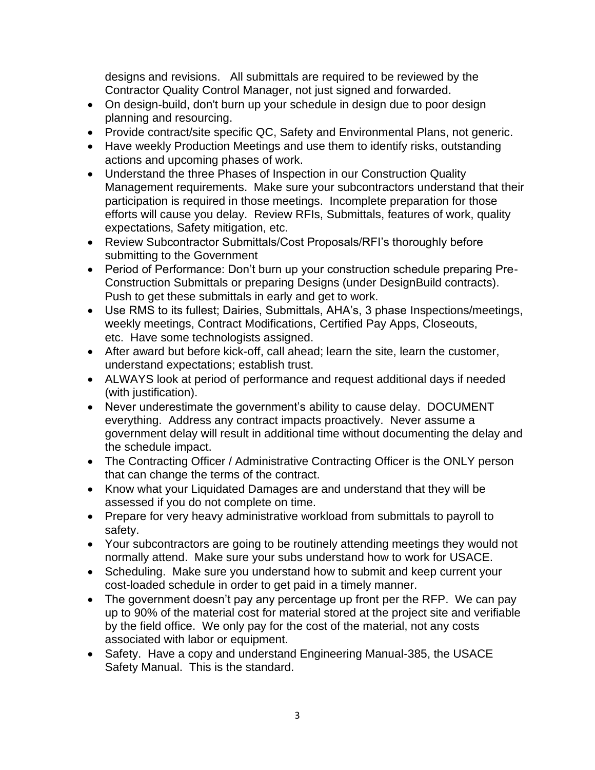designs and revisions. All submittals are required to be reviewed by the Contractor Quality Control Manager, not just signed and forwarded.

- On design-build, don't burn up your schedule in design due to poor design planning and resourcing.
- Provide contract/site specific QC, Safety and Environmental Plans, not generic.
- Have weekly Production Meetings and use them to identify risks, outstanding actions and upcoming phases of work.
- Understand the three Phases of Inspection in our Construction Quality Management requirements. Make sure your subcontractors understand that their participation is required in those meetings. Incomplete preparation for those efforts will cause you delay. Review RFIs, Submittals, features of work, quality expectations, Safety mitigation, etc.
- Review Subcontractor Submittals/Cost Proposals/RFI's thoroughly before submitting to the Government
- Period of Performance: Don't burn up your construction schedule preparing Pre-Construction Submittals or preparing Designs (under DesignBuild contracts). Push to get these submittals in early and get to work.
- Use RMS to its fullest; Dairies, Submittals, AHA's, 3 phase Inspections/meetings, weekly meetings, Contract Modifications, Certified Pay Apps, Closeouts, etc. Have some technologists assigned.
- After award but before kick-off, call ahead; learn the site, learn the customer, understand expectations; establish trust.
- ALWAYS look at period of performance and request additional days if needed (with justification).
- Never underestimate the government's ability to cause delay. DOCUMENT everything. Address any contract impacts proactively. Never assume a government delay will result in additional time without documenting the delay and the schedule impact.
- The Contracting Officer / Administrative Contracting Officer is the ONLY person that can change the terms of the contract.
- Know what your Liquidated Damages are and understand that they will be assessed if you do not complete on time.
- Prepare for very heavy administrative workload from submittals to payroll to safety.
- Your subcontractors are going to be routinely attending meetings they would not normally attend. Make sure your subs understand how to work for USACE.
- Scheduling. Make sure you understand how to submit and keep current your cost-loaded schedule in order to get paid in a timely manner.
- The government doesn't pay any percentage up front per the RFP. We can pay up to 90% of the material cost for material stored at the project site and verifiable by the field office. We only pay for the cost of the material, not any costs associated with labor or equipment.
- Safety. Have a copy and understand Engineering Manual-385, the USACE Safety Manual. This is the standard.